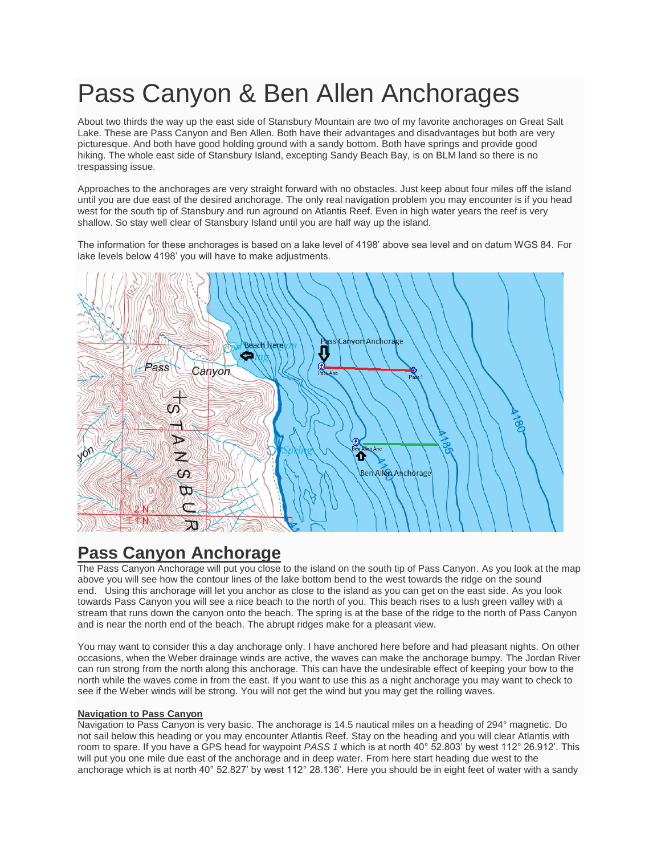# Pass Canyon & Ben Allen Anchorages

About two thirds the way up the east side of Stansbury Mountain are two of my favorite anchorages on Great Salt Lake. These are Pass Canyon and Ben Allen. Both have their advantages and disadvantages but both are very picturesque. And both have good holding ground with a sandy bottom. Both have springs and provide good hiking. The whole east side of Stansbury Island, excepting Sandy Beach Bay, is on BLM land so there is no trespassing issue.

Approaches to the anchorages are very straight forward with no obstacles. Just keep about four miles off the island until you are due east of the desired anchorage. The only real navigation problem you may encounter is if you head west for the south tip of Stansbury and run aground on Atlantis Reef. Even in high water years the reef is very shallow. So stay well clear of Stansbury Island until you are half way up the island.

The information for these anchorages is based on a lake level of 4198' above sea level and on datum WGS 84. For lake levels below 4198' you will have to make adjustments.



## **Pass Canyon Anchorage**

The Pass Canyon Anchorage will put you close to the island on the south tip of Pass Canyon. As you look at the map above you will see how the contour lines of the lake bottom bend to the west towards the ridge on the sound end. Using this anchorage will let you anchor as close to the island as you can get on the east side. As you look towards Pass Canyon you will see a nice beach to the north of you. This beach rises to a lush green valley with a stream that runs down the canyon onto the beach. The spring is at the base of the ridge to the north of Pass Canyon and is near the north end of the beach. The abrupt ridges make for a pleasant view.

You may want to consider this a day anchorage only. I have anchored here before and had pleasant nights. On other occasions, when the Weber drainage winds are active, the waves can make the anchorage bumpy. The Jordan River can run strong from the north along this anchorage. This can have the undesirable effect of keeping your bow to the north while the waves come in from the east. If you want to use this as a night anchorage you may want to check to see if the Weber winds will be strong. You will not get the wind but you may get the rolling waves.

### **Navigation to Pass Canyon**

Navigation to Pass Canyon is very basic. The anchorage is 14.5 nautical miles on a heading of 294° magnetic. Do not sail below this heading or you may encounter Atlantis Reef. Stay on the heading and you will clear Atlantis with room to spare. If you have a GPS head for waypoint *PASS 1* which is at north 40° 52.803' by west 112° 26.912'. This will put you one mile due east of the anchorage and in deep water. From here start heading due west to the anchorage which is at north 40° 52.827' by west 112° 28.136'. Here you should be in eight feet of water with a sandy